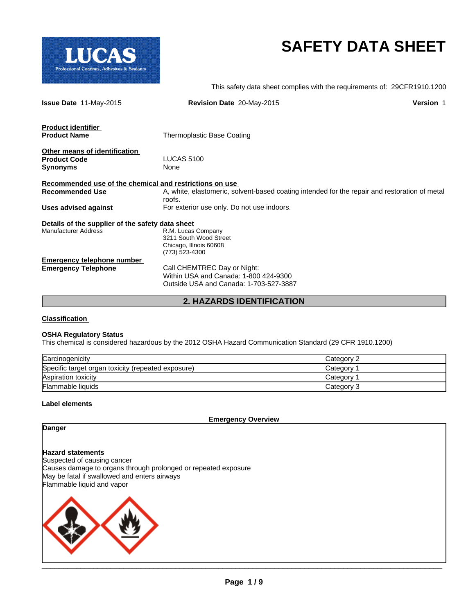

# **SAFETY DATA SHEET**

This safety data sheet complies with the requirements of: 29CFR1910.1200

| <b>Issue Date 11-May-2015</b>                           | Revision Date 20-May-2015                                                                     | <b>Version 1</b> |
|---------------------------------------------------------|-----------------------------------------------------------------------------------------------|------------------|
| <b>Product identifier</b><br><b>Product Name</b>        | Thermoplastic Base Coating                                                                    |                  |
|                                                         |                                                                                               |                  |
| Other means of identification                           |                                                                                               |                  |
| <b>Product Code</b>                                     | <b>LUCAS 5100</b>                                                                             |                  |
| <b>Synonyms</b>                                         | None                                                                                          |                  |
| Recommended use of the chemical and restrictions on use |                                                                                               |                  |
| <b>Recommended Use</b>                                  | A, white, elastomeric, solvent-based coating intended for the repair and restoration of metal |                  |
|                                                         | roofs.                                                                                        |                  |
| <b>Uses advised against</b>                             | For exterior use only. Do not use indoors.                                                    |                  |
| Details of the supplier of the safety data sheet        |                                                                                               |                  |
| <b>Manufacturer Address</b>                             | R.M. Lucas Company                                                                            |                  |
|                                                         | 3211 South Wood Street                                                                        |                  |
|                                                         | Chicago, Illnois 60608                                                                        |                  |
|                                                         | (773) 523-4300                                                                                |                  |
| Emergency telephone number                              |                                                                                               |                  |
| <b>Emergency Telephone</b>                              | Call CHEMTREC Day or Night:                                                                   |                  |
|                                                         | Within USA and Canada: 1-800 424-9300                                                         |                  |
|                                                         | Outside USA and Canada: 1-703-527-3887                                                        |                  |
|                                                         |                                                                                               |                  |

**2. HAZARDS IDENTIFICATION**

# **Classification**

# **OSHA Regulatory Status**

This chemical is considered hazardous by the 2012 OSHA Hazard Communication Standard (29 CFR 1910.1200)

| Carcinogenicity                                    | Category 2 |
|----------------------------------------------------|------------|
| Specific target organ toxicity (repeated exposure) | Category   |
| Aspiration toxicity                                | Category 1 |
| <b>Flammable liquids</b>                           | Category 3 |

#### **Label elements**

**Emergency Overview**

# **Danger**

# **Hazard statements**

Suspected of causing cancer Causes damage to organs through prolonged or repeated exposure May be fatal if swallowed and enters airways Flammable liquid and vapor



 $\mathcal{L}_\mathcal{L} = \mathcal{L}_\mathcal{L} = \mathcal{L}_\mathcal{L} = \mathcal{L}_\mathcal{L} = \mathcal{L}_\mathcal{L} = \mathcal{L}_\mathcal{L} = \mathcal{L}_\mathcal{L} = \mathcal{L}_\mathcal{L} = \mathcal{L}_\mathcal{L} = \mathcal{L}_\mathcal{L} = \mathcal{L}_\mathcal{L} = \mathcal{L}_\mathcal{L} = \mathcal{L}_\mathcal{L} = \mathcal{L}_\mathcal{L} = \mathcal{L}_\mathcal{L} = \mathcal{L}_\mathcal{L} = \mathcal{L}_\mathcal{L}$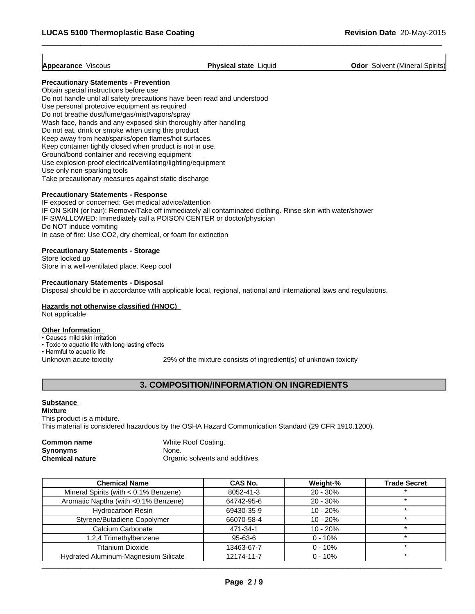$\overline{\phantom{a}}$  ,  $\overline{\phantom{a}}$  ,  $\overline{\phantom{a}}$  ,  $\overline{\phantom{a}}$  ,  $\overline{\phantom{a}}$  ,  $\overline{\phantom{a}}$  ,  $\overline{\phantom{a}}$  ,  $\overline{\phantom{a}}$  ,  $\overline{\phantom{a}}$  ,  $\overline{\phantom{a}}$  ,  $\overline{\phantom{a}}$  ,  $\overline{\phantom{a}}$  ,  $\overline{\phantom{a}}$  ,  $\overline{\phantom{a}}$  ,  $\overline{\phantom{a}}$  ,  $\overline{\phantom{a}}$ 

**Appearance** Viscous **Physical state** Liquid **Odor** Solvent (Mineral Spirits)

# **Precautionary Statements - Prevention**

Obtain special instructions before use Do not handle until all safety precautions have been read and understood Use personal protective equipment as required Do not breathe dust/fume/gas/mist/vapors/spray Wash face, hands and any exposed skin thoroughly after handling Do not eat, drink or smoke when using this product Keep away from heat/sparks/open flames/hot surfaces. Keep container tightly closed when product is not in use. Ground/bond container and receiving equipment Use explosion-proof electrical/ventilating/lighting/equipment Use only non-sparking tools Take precautionary measures against static discharge

# **Precautionary Statements - Response**

IF exposed or concerned: Get medical advice/attention IF ON SKIN (or hair): Remove/Take off immediately all contaminated clothing. Rinse skin with water/shower IF SWALLOWED: Immediately call a POISON CENTER or doctor/physician Do NOT induce vomiting In case of fire: Use CO2, dry chemical, or foam for extinction

#### **Precautionary Statements - Storage**

Store locked up Store in a well-ventilated place. Keep cool

#### **Precautionary Statements - Disposal**

Disposal should be in accordance with applicable local, regional, national and international laws and regulations.

# **Hazards not otherwise classified (HNOC)**

Not applicable

# **Other Information**

• Causes mild skin irritation

- Toxic to aquatic life with long lasting effects
- Harmful to aquatic life

Unknown acute toxicity 29% of the mixture consists of ingredient(s) of unknown toxicity

# **3. COMPOSITION/INFORMATION ON INGREDIENTS**

# **Substance**

**Mixture** This product is a mixture. This material is considered hazardous by the OSHA Hazard Communication Standard (29 CFR 1910.1200).

| Common name            | White Roof Coating.             |
|------------------------|---------------------------------|
| <b>Synonyms</b>        | None.                           |
| <b>Chemical nature</b> | Organic solvents and additives. |

| <b>Chemical Name</b>                  | <b>CAS No.</b> | Weight-%   | <b>Trade Secret</b> |
|---------------------------------------|----------------|------------|---------------------|
| Mineral Spirits (with < 0.1% Benzene) | 8052-41-3      | $20 - 30%$ |                     |
| Aromatic Naptha (with <0.1% Benzene)  | 64742-95-6     | $20 - 30%$ |                     |
| <b>Hydrocarbon Resin</b>              | 69430-35-9     | $10 - 20%$ |                     |
| Styrene/Butadiene Copolymer           | 66070-58-4     | $10 - 20%$ |                     |
| Calcium Carbonate                     | 471-34-1       | $10 - 20%$ | ÷                   |
| 1,2,4 Trimethylbenzene                | 95-63-6        | $0 - 10%$  |                     |
| <b>Titanium Dioxide</b>               | 13463-67-7     | $0 - 10%$  |                     |
| Hydrated Aluminum-Magnesium Silicate  | 12174-11-7     | $0 - 10%$  | ÷                   |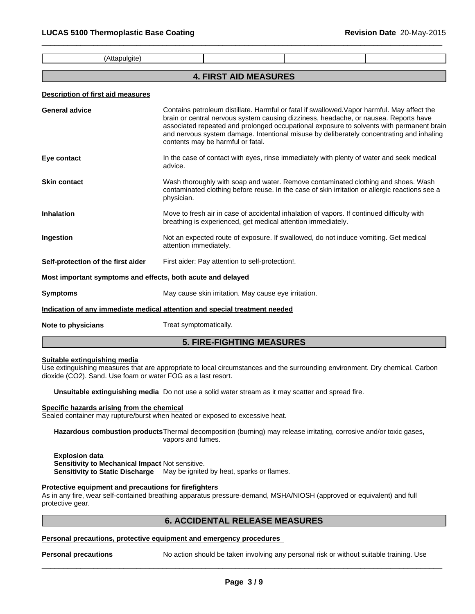(Attapulgite)

# **4. FIRST AID MEASURES**

 $\overline{\phantom{a}}$  ,  $\overline{\phantom{a}}$  ,  $\overline{\phantom{a}}$  ,  $\overline{\phantom{a}}$  ,  $\overline{\phantom{a}}$  ,  $\overline{\phantom{a}}$  ,  $\overline{\phantom{a}}$  ,  $\overline{\phantom{a}}$  ,  $\overline{\phantom{a}}$  ,  $\overline{\phantom{a}}$  ,  $\overline{\phantom{a}}$  ,  $\overline{\phantom{a}}$  ,  $\overline{\phantom{a}}$  ,  $\overline{\phantom{a}}$  ,  $\overline{\phantom{a}}$  ,  $\overline{\phantom{a}}$ 

#### **Description of first aid measures**

| General advice                                              | Contains petroleum distillate. Harmful or fatal if swallowed. Vapor harmful. May affect the<br>brain or central nervous system causing dizziness, headache, or nausea. Reports have<br>associated repeated and prolonged occupational exposure to solvents with permanent brain<br>and nervous system damage. Intentional misuse by deliberately concentrating and inhaling<br>contents may be harmful or fatal. |
|-------------------------------------------------------------|------------------------------------------------------------------------------------------------------------------------------------------------------------------------------------------------------------------------------------------------------------------------------------------------------------------------------------------------------------------------------------------------------------------|
| Eye contact                                                 | In the case of contact with eyes, rinse immediately with plenty of water and seek medical<br>advice.                                                                                                                                                                                                                                                                                                             |
| <b>Skin contact</b>                                         | Wash thoroughly with soap and water. Remove contaminated clothing and shoes. Wash<br>contaminated clothing before reuse. In the case of skin irritation or allergic reactions see a<br>physician.                                                                                                                                                                                                                |
| Inhalation                                                  | Move to fresh air in case of accidental inhalation of vapors. If continued difficulty with<br>breathing is experienced, get medical attention immediately.                                                                                                                                                                                                                                                       |
| Ingestion                                                   | Not an expected route of exposure. If swallowed, do not induce vomiting. Get medical<br>attention immediately.                                                                                                                                                                                                                                                                                                   |
| Self-protection of the first aider                          | First aider: Pay attention to self-protection!.                                                                                                                                                                                                                                                                                                                                                                  |
| Most important symptoms and effects, both acute and delayed |                                                                                                                                                                                                                                                                                                                                                                                                                  |
| Symptoms                                                    | May cause skin irritation. May cause eye irritation.                                                                                                                                                                                                                                                                                                                                                             |
|                                                             | Indication of any immediate medical attention and special treatment needed                                                                                                                                                                                                                                                                                                                                       |
| Note to physicians                                          | Treat symptomatically.                                                                                                                                                                                                                                                                                                                                                                                           |

# **5. FIRE-FIGHTING MEASURES**

# **Suitable extinguishing media**

Use extinguishing measures that are appropriate to local circumstances and the surrounding environment. Dry chemical. Carbon dioxide (CO2). Sand. Use foam or water FOG as a last resort.

**Unsuitable extinguishing media** Do not use a solid water stream as it may scatter and spread fire.

## **Specific hazards arising from the chemical**

Sealed container may rupture/burst when heated or exposed to excessive heat.

**Hazardous combustion products**Thermal decomposition (burning) may release irritating, corrosive and/or toxic gases, vapors and fumes.

# **Explosion data**

**Sensitivity to Mechanical Impact** Not sensitive.

**Sensitivity to Static Discharge** May be ignited by heat, sparks or flames.

# **Protective equipment and precautions for firefighters**

As in any fire, wear self-contained breathing apparatus pressure-demand, MSHA/NIOSH (approved or equivalent) and full protective gear.

# **6. ACCIDENTAL RELEASE MEASURES**

# **Personal precautions, protective equipment and emergency procedures**

**Personal precautions** No action should be taken involving any personal risk or without suitable training. Use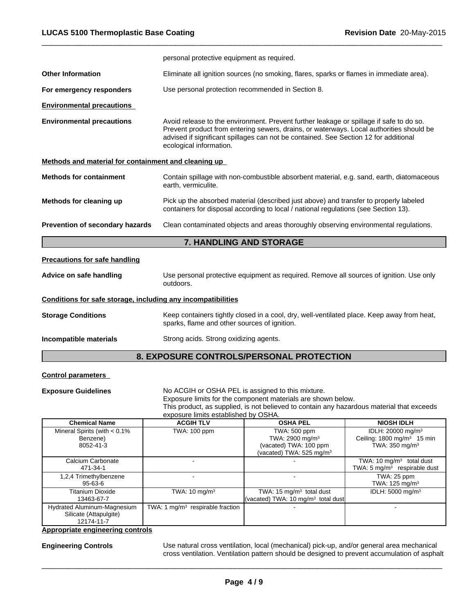|                                                                                                                                                                         | personal protective equipment as required.                                                                                                                                                                                                                                                            |  |  |  |
|-------------------------------------------------------------------------------------------------------------------------------------------------------------------------|-------------------------------------------------------------------------------------------------------------------------------------------------------------------------------------------------------------------------------------------------------------------------------------------------------|--|--|--|
| <b>Other Information</b>                                                                                                                                                | Eliminate all ignition sources (no smoking, flares, sparks or flames in immediate area).                                                                                                                                                                                                              |  |  |  |
| For emergency responders                                                                                                                                                | Use personal protection recommended in Section 8.                                                                                                                                                                                                                                                     |  |  |  |
| <b>Environmental precautions</b>                                                                                                                                        |                                                                                                                                                                                                                                                                                                       |  |  |  |
| <b>Environmental precautions</b>                                                                                                                                        | Avoid release to the environment. Prevent further leakage or spillage if safe to do so.<br>Prevent product from entering sewers, drains, or waterways. Local authorities should be<br>advised if significant spillages can not be contained. See Section 12 for additional<br>ecological information. |  |  |  |
| Methods and material for containment and cleaning up                                                                                                                    |                                                                                                                                                                                                                                                                                                       |  |  |  |
| Contain spillage with non-combustible absorbent material, e.g. sand, earth, diatomaceous<br><b>Methods for containment</b><br>earth, vermiculite.                       |                                                                                                                                                                                                                                                                                                       |  |  |  |
| Methods for cleaning up                                                                                                                                                 | Pick up the absorbed material (described just above) and transfer to properly labeled<br>containers for disposal according to local / national regulations (see Section 13).                                                                                                                          |  |  |  |
| Prevention of secondary hazards                                                                                                                                         | Clean contaminated objects and areas thoroughly observing environmental regulations.                                                                                                                                                                                                                  |  |  |  |
|                                                                                                                                                                         | <b>7. HANDLING AND STORAGE</b>                                                                                                                                                                                                                                                                        |  |  |  |
| <b>Precautions for safe handling</b>                                                                                                                                    |                                                                                                                                                                                                                                                                                                       |  |  |  |
| Advice on safe handling                                                                                                                                                 | Use personal protective equipment as required. Remove all sources of ignition. Use only<br>outdoors.                                                                                                                                                                                                  |  |  |  |
| Conditions for safe storage, including any incompatibilities                                                                                                            |                                                                                                                                                                                                                                                                                                       |  |  |  |
| <b>Storage Conditions</b><br>Keep containers tightly closed in a cool, dry, well-ventilated place. Keep away from heat,<br>sparks, flame and other sources of ignition. |                                                                                                                                                                                                                                                                                                       |  |  |  |
| Incompatible materials                                                                                                                                                  | Strong acids. Strong oxidizing agents.                                                                                                                                                                                                                                                                |  |  |  |

 $\overline{\phantom{a}}$  ,  $\overline{\phantom{a}}$  ,  $\overline{\phantom{a}}$  ,  $\overline{\phantom{a}}$  ,  $\overline{\phantom{a}}$  ,  $\overline{\phantom{a}}$  ,  $\overline{\phantom{a}}$  ,  $\overline{\phantom{a}}$  ,  $\overline{\phantom{a}}$  ,  $\overline{\phantom{a}}$  ,  $\overline{\phantom{a}}$  ,  $\overline{\phantom{a}}$  ,  $\overline{\phantom{a}}$  ,  $\overline{\phantom{a}}$  ,  $\overline{\phantom{a}}$  ,  $\overline{\phantom{a}}$ 

# **8. EXPOSURE CONTROLS/PERSONAL PROTECTION**

# **Control parameters**

**Exposure Guidelines** No ACGIH or OSHA PEL is assigned to this mixture.

Exposure limits for the component materials are shown below.

This product, as supplied, is not believed to contain any hazardous material that exceeds exposure limits established by OSHA.

| $\frac{1}{2}$                                                       |                                    |                                                                                                               |                                                                                                      |  |  |
|---------------------------------------------------------------------|------------------------------------|---------------------------------------------------------------------------------------------------------------|------------------------------------------------------------------------------------------------------|--|--|
| <b>Chemical Name</b>                                                | <b>ACGIH TLV</b>                   | <b>OSHA PEL</b>                                                                                               | <b>NIOSH IDLH</b>                                                                                    |  |  |
| Mineral Spirits (with $< 0.1\%$<br>Benzene)<br>8052-41-3            | TWA: 100 ppm                       | TWA: 500 ppm<br>TWA: 2900 mg/m <sup>3</sup><br>(vacated) TWA: 100 ppm<br>(vacated) TWA: 525 mg/m <sup>3</sup> | IDLH: 20000 mg/m <sup>3</sup><br>Ceiling: 1800 mg/m <sup>3</sup> 15 min<br>TWA: $350 \text{ mg/m}^3$ |  |  |
| Calcium Carbonate<br>471-34-1                                       |                                    |                                                                                                               | TWA: 10 $mg/m3$ total dust<br>TWA: $5 \text{ mg/m}^3$ respirable dust                                |  |  |
| 1,2,4 Trimethylbenzene<br>$95 - 63 - 6$                             |                                    |                                                                                                               | TWA: 25 ppm<br>TWA: $125 \text{ mg/m}^3$                                                             |  |  |
| Titanium Dioxide<br>13463-67-7                                      | TWA: $10 \text{ mg/m}^3$           | TWA: 15 $mg/m3$ total dust<br>(vacated) TWA: 10 $mg/m3$ total dust                                            | IDLH: $5000 \text{ mg/m}^3$                                                                          |  |  |
| Hydrated Aluminum-Magnesium<br>Silicate (Attapulgite)<br>12174-11-7 | TWA: 1 $mq/m3$ respirable fraction |                                                                                                               |                                                                                                      |  |  |

**Appropriate engineering controls**

**Engineering Controls** Use natural cross ventilation, local (mechanical) pick-up, and/or general area mechanical cross ventilation. Ventilation pattern should be designed to prevent accumulation of asphalt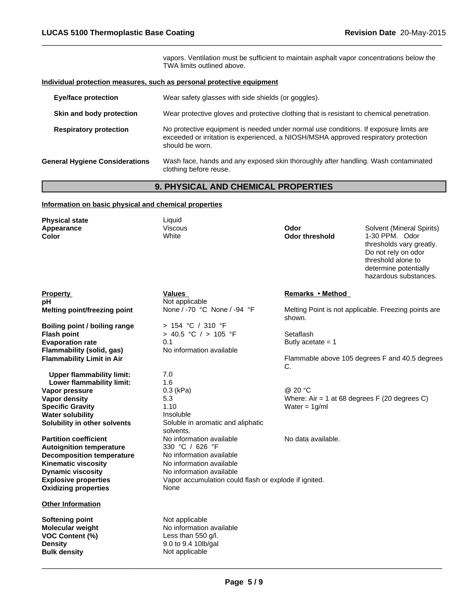vapors. Ventilation must be sufficient to maintain asphalt vapor concentrations below the TWA limits outlined above.

 $\overline{\phantom{a}}$  ,  $\overline{\phantom{a}}$  ,  $\overline{\phantom{a}}$  ,  $\overline{\phantom{a}}$  ,  $\overline{\phantom{a}}$  ,  $\overline{\phantom{a}}$  ,  $\overline{\phantom{a}}$  ,  $\overline{\phantom{a}}$  ,  $\overline{\phantom{a}}$  ,  $\overline{\phantom{a}}$  ,  $\overline{\phantom{a}}$  ,  $\overline{\phantom{a}}$  ,  $\overline{\phantom{a}}$  ,  $\overline{\phantom{a}}$  ,  $\overline{\phantom{a}}$  ,  $\overline{\phantom{a}}$ 

# **Individual protection measures, such as personal protective equipment**

| <b>Eye/face protection</b>            | Wear safety glasses with side shields (or goggles).                                                                                                                                             |
|---------------------------------------|-------------------------------------------------------------------------------------------------------------------------------------------------------------------------------------------------|
| Skin and body protection              | Wear protective gloves and protective clothing that is resistant to chemical penetration.                                                                                                       |
| <b>Respiratory protection</b>         | No protective equipment is needed under normal use conditions. If exposure limits are<br>exceeded or irritation is experienced, a NIOSH/MSHA approved respiratory protection<br>should be worn. |
| <b>General Hygiene Considerations</b> | Wash face, hands and any exposed skin thoroughly after handling. Wash contaminated<br>clothing before reuse.                                                                                    |

# **9. PHYSICAL AND CHEMICAL PROPERTIES**

# **Information on basic physical and chemical properties**

| <b>Physical state</b><br>Appearance<br>Color | Liquid<br><b>Viscous</b><br>White                     | Odor<br><b>Odor threshold</b> | Solvent (Mineral Spirits)<br>1-30 PPM. Odor<br>thresholds vary greatly.<br>Do not rely on odor<br>threshold alone to<br>determine potentially<br>hazardous substances. |
|----------------------------------------------|-------------------------------------------------------|-------------------------------|------------------------------------------------------------------------------------------------------------------------------------------------------------------------|
| <b>Property</b>                              | <b>Values</b>                                         | Remarks • Method              |                                                                                                                                                                        |
| рH                                           | Not applicable                                        |                               |                                                                                                                                                                        |
| Melting point/freezing point                 | None / -70 °C None / -94 °F                           | shown.                        | Melting Point is not applicable. Freezing points are                                                                                                                   |
| Boiling point / boiling range                | > 154 °C / 310 °F                                     |                               |                                                                                                                                                                        |
| <b>Flash point</b>                           | > 40.5 °C / > 105 °F                                  | Setaflash                     |                                                                                                                                                                        |
| <b>Evaporation rate</b>                      | 0.1                                                   | Butly acetate $= 1$           |                                                                                                                                                                        |
| Flammability (solid, gas)                    | No information available                              |                               |                                                                                                                                                                        |
| <b>Flammability Limit in Air</b>             |                                                       | C.                            | Flammable above 105 degrees F and 40.5 degrees                                                                                                                         |
| <b>Upper flammability limit:</b>             | 7.0                                                   |                               |                                                                                                                                                                        |
| Lower flammability limit:                    | 1.6                                                   |                               |                                                                                                                                                                        |
| Vapor pressure                               | $0.3$ (kPa)                                           | @ 20 °C                       |                                                                                                                                                                        |
| <b>Vapor density</b>                         | 5.3                                                   |                               | Where: Air = 1 at 68 degrees $F(20$ degrees C)                                                                                                                         |
| <b>Specific Gravity</b>                      | 1.10                                                  | Water = $1q/ml$               |                                                                                                                                                                        |
| <b>Water solubility</b>                      | Insoluble                                             |                               |                                                                                                                                                                        |
| Solubility in other solvents                 | Soluble in aromatic and aliphatic<br>solvents.        |                               |                                                                                                                                                                        |
| <b>Partition coefficient</b>                 | No information available                              | No data available.            |                                                                                                                                                                        |
| <b>Autoignition temperature</b>              | 330 °C / 626 °F                                       |                               |                                                                                                                                                                        |
| <b>Decomposition temperature</b>             | No information available                              |                               |                                                                                                                                                                        |
| <b>Kinematic viscosity</b>                   | No information available                              |                               |                                                                                                                                                                        |
| <b>Dynamic viscosity</b>                     | No information available                              |                               |                                                                                                                                                                        |
| <b>Explosive properties</b>                  | Vapor accumulation could flash or explode if ignited. |                               |                                                                                                                                                                        |
| <b>Oxidizing properties</b>                  | None                                                  |                               |                                                                                                                                                                        |
| <b>Other Information</b>                     |                                                       |                               |                                                                                                                                                                        |
| <b>Softening point</b>                       | Not applicable                                        |                               |                                                                                                                                                                        |
| Molecular weight                             | No information available                              |                               |                                                                                                                                                                        |
| <b>VOC Content (%)</b>                       | Less than $550$ g/l.                                  |                               |                                                                                                                                                                        |
| <b>Density</b>                               | 9.0 to 9.4 10lb/gal                                   |                               |                                                                                                                                                                        |
| <b>Bulk density</b>                          | Not applicable                                        |                               |                                                                                                                                                                        |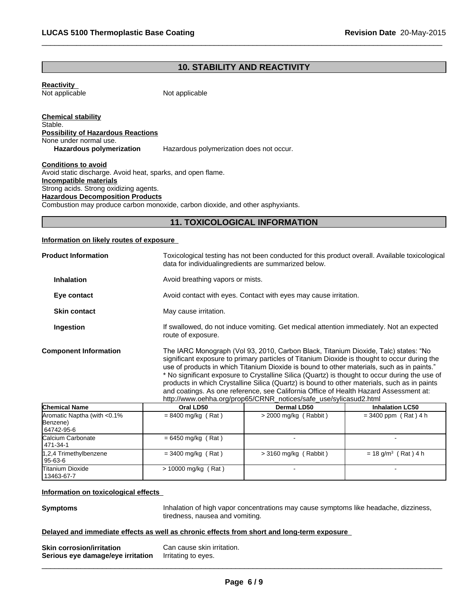# **10. STABILITY AND REACTIVITY**

 $\overline{\phantom{a}}$  ,  $\overline{\phantom{a}}$  ,  $\overline{\phantom{a}}$  ,  $\overline{\phantom{a}}$  ,  $\overline{\phantom{a}}$  ,  $\overline{\phantom{a}}$  ,  $\overline{\phantom{a}}$  ,  $\overline{\phantom{a}}$  ,  $\overline{\phantom{a}}$  ,  $\overline{\phantom{a}}$  ,  $\overline{\phantom{a}}$  ,  $\overline{\phantom{a}}$  ,  $\overline{\phantom{a}}$  ,  $\overline{\phantom{a}}$  ,  $\overline{\phantom{a}}$  ,  $\overline{\phantom{a}}$ 

**Reactivity**  Not applicable

Not applicable

**Chemical stability** Stable. **Possibility of Hazardous Reactions** None under normal use.<br> **Hazardous polymerization** Hazardous polymerization does not occur.

**Conditions to avoid** Avoid static discharge. Avoid heat, sparks, and open flame. **Incompatible materials** Strong acids. Strong oxidizing agents. **Hazardous Decomposition Products** Combustion may produce carbon monoxide, carbon dioxide, and other asphyxiants.

# **11. TOXICOLOGICAL INFORMATION**

# **Information on likely routes of exposure**

| <b>Product Information</b>                             |                                  | Toxicological testing has not been conducted for this product overall. Available toxicological<br>data for individualing redients are summarized below.                                                                                                                                                                                                                                                                                                                                                                                                                                                                                           |                                   |  |  |
|--------------------------------------------------------|----------------------------------|---------------------------------------------------------------------------------------------------------------------------------------------------------------------------------------------------------------------------------------------------------------------------------------------------------------------------------------------------------------------------------------------------------------------------------------------------------------------------------------------------------------------------------------------------------------------------------------------------------------------------------------------------|-----------------------------------|--|--|
| <b>Inhalation</b>                                      | Avoid breathing vapors or mists. |                                                                                                                                                                                                                                                                                                                                                                                                                                                                                                                                                                                                                                                   |                                   |  |  |
| Eye contact                                            |                                  | Avoid contact with eyes. Contact with eyes may cause irritation.                                                                                                                                                                                                                                                                                                                                                                                                                                                                                                                                                                                  |                                   |  |  |
| <b>Skin contact</b>                                    | May cause irritation.            |                                                                                                                                                                                                                                                                                                                                                                                                                                                                                                                                                                                                                                                   |                                   |  |  |
| Ingestion                                              | route of exposure.               | If swallowed, do not induce vomiting. Get medical attention immediately. Not an expected                                                                                                                                                                                                                                                                                                                                                                                                                                                                                                                                                          |                                   |  |  |
| <b>Component Information</b>                           |                                  | The IARC Monograph (Vol 93, 2010, Carbon Black, Titanium Dioxide, Talc) states: "No<br>significant exposure to primary particles of Titanium Dioxide is thought to occur during the<br>use of products in which Titanium Dioxide is bound to other materials, such as in paints."<br>* No significant exposure to Crystalline Silica (Quartz) is thought to occur during the use of<br>products in which Crystalline Silica (Quartz) is bound to other materials, such as in paints<br>and coatings. As one reference, see California Office of Health Hazard Assessment at:<br>http://www.oehha.org/prop65/CRNR_notices/safe_use/sylicasud2.html |                                   |  |  |
| <b>Chemical Name</b>                                   | Oral LD50                        | <b>Dermal LD50</b>                                                                                                                                                                                                                                                                                                                                                                                                                                                                                                                                                                                                                                | <b>Inhalation LC50</b>            |  |  |
| Aromatic Naptha (with <0.1%)<br>Benzene)<br>64742-95-6 | $= 8400$ mg/kg (Rat)             | $>$ 2000 mg/kg (Rabbit)                                                                                                                                                                                                                                                                                                                                                                                                                                                                                                                                                                                                                           | $= 3400$ ppm (Rat) 4 h            |  |  |
| Calcium Carbonate<br>471-34-1                          | $= 6450$ mg/kg (Rat)             |                                                                                                                                                                                                                                                                                                                                                                                                                                                                                                                                                                                                                                                   |                                   |  |  |
| 1,2,4 Trimethylbenzene<br>95-63-6                      | $=$ 3400 mg/kg (Rat)             | $>$ 3160 mg/kg (Rabbit)                                                                                                                                                                                                                                                                                                                                                                                                                                                                                                                                                                                                                           | $= 18$ g/m <sup>3</sup> (Rat) 4 h |  |  |
| <b>Titanium Dioxide</b><br>13463-67-7                  | > 10000 mg/kg (Rat)              |                                                                                                                                                                                                                                                                                                                                                                                                                                                                                                                                                                                                                                                   |                                   |  |  |

# **Information on toxicological effects**

**Symptoms Inhalation of high vapor concentrations may cause symptoms like headache, dizziness,** tiredness, nausea and vomiting.

 $\overline{\phantom{a}}$  ,  $\overline{\phantom{a}}$  ,  $\overline{\phantom{a}}$  ,  $\overline{\phantom{a}}$  ,  $\overline{\phantom{a}}$  ,  $\overline{\phantom{a}}$  ,  $\overline{\phantom{a}}$  ,  $\overline{\phantom{a}}$  ,  $\overline{\phantom{a}}$  ,  $\overline{\phantom{a}}$  ,  $\overline{\phantom{a}}$  ,  $\overline{\phantom{a}}$  ,  $\overline{\phantom{a}}$  ,  $\overline{\phantom{a}}$  ,  $\overline{\phantom{a}}$  ,  $\overline{\phantom{a}}$ 

#### **Delayed and immediate effects as well as chronic effects from short and long-term exposure**

| <b>Skin corrosion/irritation</b>  | Can cause skin irritation. |
|-----------------------------------|----------------------------|
| Serious eye damage/eye irritation | Irritating to eyes.        |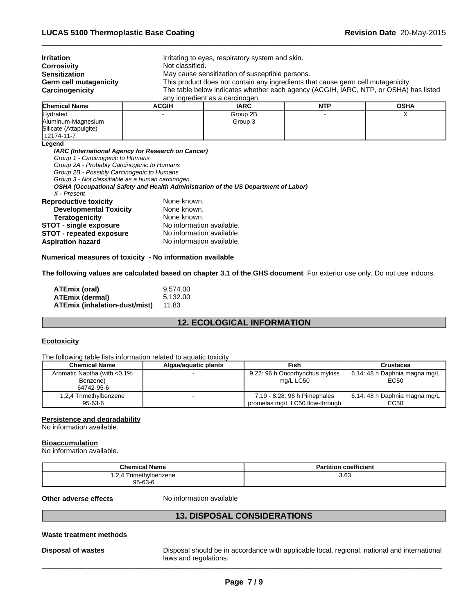| <b>Irritation</b>      |              | Irritating to eyes, respiratory system and skin.                                     |            |             |  |  |
|------------------------|--------------|--------------------------------------------------------------------------------------|------------|-------------|--|--|
| <b>Corrosivity</b>     |              | Not classified.                                                                      |            |             |  |  |
| <b>Sensitization</b>   |              | May cause sensitization of susceptible persons.                                      |            |             |  |  |
| Germ cell mutagenicity |              | This product does not contain any ingredients that cause germ cell mutagenicity.     |            |             |  |  |
| Carcinogenicity        |              | The table below indicates whether each agency (ACGIH, IARC, NTP, or OSHA) has listed |            |             |  |  |
|                        |              | any ingredient as a carcinogen.                                                      |            |             |  |  |
| <b>Chemical Name</b>   | <b>ACGIH</b> | <b>IARC</b>                                                                          | <b>NTP</b> | <b>OSHA</b> |  |  |
| المستحدث والبارا       |              | O(1)                                                                                 |            |             |  |  |

 $\overline{\phantom{a}}$  ,  $\overline{\phantom{a}}$  ,  $\overline{\phantom{a}}$  ,  $\overline{\phantom{a}}$  ,  $\overline{\phantom{a}}$  ,  $\overline{\phantom{a}}$  ,  $\overline{\phantom{a}}$  ,  $\overline{\phantom{a}}$  ,  $\overline{\phantom{a}}$  ,  $\overline{\phantom{a}}$  ,  $\overline{\phantom{a}}$  ,  $\overline{\phantom{a}}$  ,  $\overline{\phantom{a}}$  ,  $\overline{\phantom{a}}$  ,  $\overline{\phantom{a}}$  ,  $\overline{\phantom{a}}$ 

| Gilennual Nanie                                            | AGUIN | IARU     | <b>IN LE</b> | VJNA |
|------------------------------------------------------------|-------|----------|--------------|------|
| Hydrated                                                   |       | Group 2B |              |      |
| Aluminum-Magnesium<br>Silicate (Attapulgite)<br>12174-11-7 |       | Group 3  |              |      |

**Legend**

*IARC (International Agency for Research on Cancer)*

*Group 1 - Carcinogenic to Humans*

*Group 2A - Probably Carcinogenic to Humans*

*Group 2B - Possibly Carcinogenic to Humans*

*Group 3 - Not classifiable as a human carcinogen.*

*OSHA (Occupational Safety and Health Administration of the US Department of Labor)*

*X - Present*

| <b>Reproductive toxicity</b>    | None known.               |
|---------------------------------|---------------------------|
| <b>Developmental Toxicity</b>   | None known.               |
| <b>Teratogenicity</b>           | None known.               |
| <b>STOT - single exposure</b>   | No information available. |
| <b>STOT - repeated exposure</b> | No information available. |
| Aspiration hazard               | No information available. |

#### **Numerical measures of toxicity - No information available**

**The following values are calculated based on chapter 3.1 of the GHS document** For exterior use only. Do not use indoors.

| ATEmix (oral)                 | 9.574.00 |
|-------------------------------|----------|
| ATEmix (dermal)               | 5.132.00 |
| ATEmix (inhalation-dust/mist) | 11.83    |

# **12. ECOLOGICAL INFORMATION**

# **Ecotoxicity**

The following table lists information related to aquatic toxicity

| <b>Chemical Name</b>         | Algae/aguatic plants | Fish                            | Crustacea                     |
|------------------------------|----------------------|---------------------------------|-------------------------------|
| Aromatic Naptha (with <0.1%) |                      | 9.22: 96 h Oncorhynchus mykiss  | 6.14: 48 h Daphnia magna mg/L |
| Benzene)                     |                      | ma/L LC50                       | EC50                          |
| 64742-95-6                   |                      |                                 |                               |
| 1,2,4 Trimethylbenzene       |                      | 7.19 - 8.28: 96 h Pimephales    | 6.14: 48 h Daphnia magna mg/L |
| 95-63-6                      |                      | promelas mg/L LC50 flow-through | EC50                          |

#### **Persistence and degradability**

No information available.

# **Bioaccumulation**

No information available.

| <b>Chemical Name</b>     | <b>Partition coefficient</b> |
|--------------------------|------------------------------|
| Trimethylbenzene<br>.2.4 | 3.63                         |
| $95 - 63 - 6$            |                              |

**Other adverse effects** No information available

# **13. DISPOSAL CONSIDERATIONS**

# **Waste treatment methods**

**Disposal of wastes** Disposal should be in accordance with applicable local, regional, national and international laws and regulations.  $l$  laws and regulations.  $\blacksquare$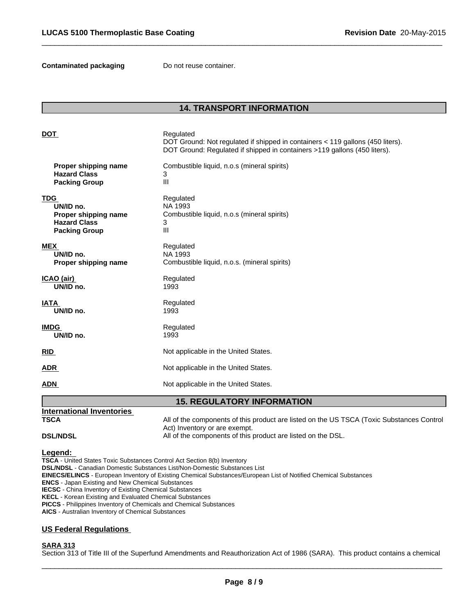**Contaminated packaging Do not reuse container.** 

# **14. TRANSPORT INFORMATION**

 $\overline{\phantom{a}}$  ,  $\overline{\phantom{a}}$  ,  $\overline{\phantom{a}}$  ,  $\overline{\phantom{a}}$  ,  $\overline{\phantom{a}}$  ,  $\overline{\phantom{a}}$  ,  $\overline{\phantom{a}}$  ,  $\overline{\phantom{a}}$  ,  $\overline{\phantom{a}}$  ,  $\overline{\phantom{a}}$  ,  $\overline{\phantom{a}}$  ,  $\overline{\phantom{a}}$  ,  $\overline{\phantom{a}}$  ,  $\overline{\phantom{a}}$  ,  $\overline{\phantom{a}}$  ,  $\overline{\phantom{a}}$ 

| <b>DOT</b>                        | Regulated<br>DOT Ground: Not regulated if shipped in containers < 119 gallons (450 liters).<br>DOT Ground: Regulated if shipped in containers >119 gallons (450 liters). |  |
|-----------------------------------|--------------------------------------------------------------------------------------------------------------------------------------------------------------------------|--|
| Proper shipping name              | Combustible liquid, n.o.s (mineral spirits)                                                                                                                              |  |
| <b>Hazard Class</b>               | 3                                                                                                                                                                        |  |
| <b>Packing Group</b>              | III                                                                                                                                                                      |  |
| <b>TDG</b>                        | Regulated                                                                                                                                                                |  |
| UN/ID no.                         | NA 1993                                                                                                                                                                  |  |
| Proper shipping name              | Combustible liquid, n.o.s (mineral spirits)                                                                                                                              |  |
| <b>Hazard Class</b>               | 3                                                                                                                                                                        |  |
| <b>Packing Group</b>              | III                                                                                                                                                                      |  |
| <b>MEX</b>                        | Regulated                                                                                                                                                                |  |
| UN/ID no.                         | NA 1993                                                                                                                                                                  |  |
| Proper shipping name              | Combustible liquid, n.o.s. (mineral spirits)                                                                                                                             |  |
| ICAO (air)                        | Regulated                                                                                                                                                                |  |
| UN/ID no.                         | 1993                                                                                                                                                                     |  |
| <b>IATA</b>                       | Regulated                                                                                                                                                                |  |
| UN/ID no.                         | 1993                                                                                                                                                                     |  |
| <b>IMDG</b>                       | Regulated                                                                                                                                                                |  |
| UN/ID no.                         | 1993                                                                                                                                                                     |  |
| <b>RID</b>                        | Not applicable in the United States.                                                                                                                                     |  |
| <b>ADR</b>                        | Not applicable in the United States.                                                                                                                                     |  |
| <b>ADN</b>                        | Not applicable in the United States.                                                                                                                                     |  |
| <b>15. REGULATORY INFORMATION</b> |                                                                                                                                                                          |  |

# **DSL/NDSL All of the components of this product are listed on the DSL.**

#### **Legend:**

**TSCA** - United States Toxic Substances Control Act Section 8(b) Inventory **DSL/NDSL** - Canadian Domestic Substances List/Non-Domestic Substances List **EINECS/ELINCS** - European Inventory of Existing Chemical Substances/European List of Notified Chemical Substances **ENCS** - Japan Existing and New Chemical Substances **IECSC** - China Inventory of Existing Chemical Substances **KECL** - Korean Existing and Evaluated Chemical Substances **PICCS** - Philippines Inventory of Chemicals and Chemical Substances **AICS** - Australian Inventory of Chemical Substances

Act) Inventory or are exempt.

# **US Federal Regulations**

**International Inventories** 

# **SARA 313**

Section 313 of Title III of the Superfund Amendments and Reauthorization Act of 1986 (SARA). This product contains a chemical

**TSCA** All of the components of this product are listed on the US TSCA (Toxic Substances Control